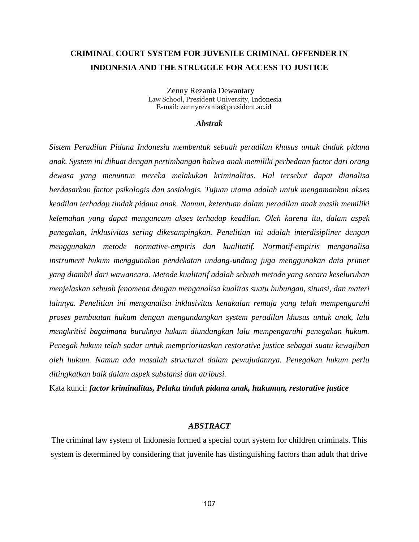# **CRIMINAL COURT SYSTEM FOR JUVENILE CRIMINAL OFFENDER IN INDONESIA AND THE STRUGGLE FOR ACCESS TO JUSTICE**

 Zenny Rezania Dewantary Law School, President University, Indonesia E-mail: [zennyrezania@president.ac.id](mailto:zennyrezania@president.ac.id)

#### *Abstrak*

*Sistem Peradilan Pidana Indonesia membentuk sebuah peradilan khusus untuk tindak pidana anak. System ini dibuat dengan pertimbangan bahwa anak memiliki perbedaan factor dari orang dewasa yang menuntun mereka melakukan kriminalitas. Hal tersebut dapat dianalisa berdasarkan factor psikologis dan sosiologis. Tujuan utama adalah untuk mengamankan akses keadilan terhadap tindak pidana anak. Namun, ketentuan dalam peradilan anak masih memiliki kelemahan yang dapat mengancam akses terhadap keadilan. Oleh karena itu, dalam aspek penegakan, inklusivitas sering dikesampingkan. Penelitian ini adalah interdisipliner dengan menggunakan metode normative-empiris dan kualitatif. Normatif-empiris menganalisa instrument hukum menggunakan pendekatan undang-undang juga menggunakan data primer yang diambil dari wawancara. Metode kualitatif adalah sebuah metode yang secara keseluruhan menjelaskan sebuah fenomena dengan menganalisa kualitas suatu hubungan, situasi, dan materi lainnya. Penelitian ini menganalisa inklusivitas kenakalan remaja yang telah mempengaruhi proses pembuatan hukum dengan mengundangkan system peradilan khusus untuk anak, lalu mengkritisi bagaimana buruknya hukum diundangkan lalu mempengaruhi penegakan hukum. Penegak hukum telah sadar untuk memprioritaskan restorative justice sebagai suatu kewajiban oleh hukum. Namun ada masalah structural dalam pewujudannya. Penegakan hukum perlu ditingkatkan baik dalam aspek substansi dan atribusi.*

Kata kunci: *factor kriminalitas, Pelaku tindak pidana anak, hukuman, restorative justice*

## *ABSTRACT*

The criminal law system of Indonesia formed a special court system for children criminals. This system is determined by considering that juvenile has distinguishing factors than adult that drive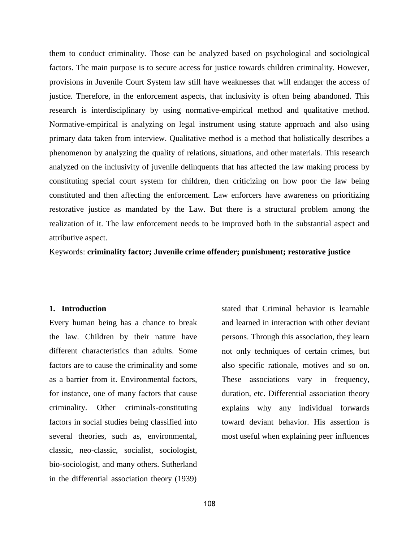them to conduct criminality. Those can be analyzed based on psychological and sociological factors. The main purpose is to secure access for justice towards children criminality. However, provisions in Juvenile Court System law still have weaknesses that will endanger the access of justice. Therefore, in the enforcement aspects, that inclusivity is often being abandoned. This research is interdisciplinary by using normative-empirical method and qualitative method. Normative-empirical is analyzing on legal instrument using statute approach and also using primary data taken from interview. Qualitative method is a method that holistically describes a phenomenon by analyzing the quality of relations, situations, and other materials. This research analyzed on the inclusivity of juvenile delinquents that has affected the law making process by constituting special court system for children, then criticizing on how poor the law being constituted and then affecting the enforcement. Law enforcers have awareness on prioritizing restorative justice as mandated by the Law. But there is a structural problem among the realization of it. The law enforcement needs to be improved both in the substantial aspect and attributive aspect.

Keywords: **criminality factor; Juvenile crime offender; punishment; restorative justice**

## **1. Introduction**

Every human being has a chance to break the law. Children by their nature have different characteristics than adults. Some factors are to cause the criminality and some as a barrier from it. Environmental factors, for instance, one of many factors that cause criminality. Other criminals-constituting factors in social studies being classified into several theories, such as, environmental, classic, neo-classic, socialist, sociologist, bio-sociologist, and many others. Sutherland in the differential association theory (1939)

stated that Criminal behavior is learnable and learned in interaction with other deviant persons. Through this association, they learn not only techniques of certain crimes, but also specific rationale, motives and so on. These associations vary in frequency, duration, etc. Differential association theory explains why any individual forwards toward deviant behavior. His assertion is most useful when explaining peer influences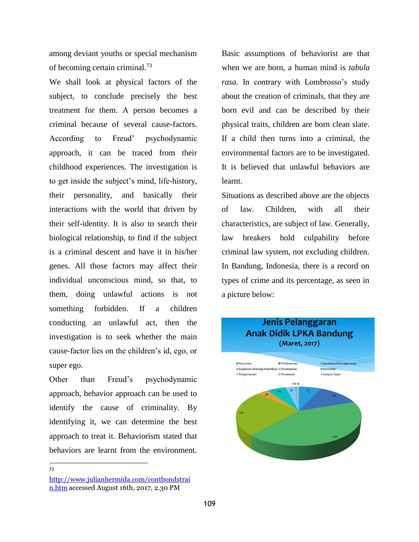among deviant youths or special mechanism of becoming certain criminal.<sup>73</sup>

We shall look at physical factors of the subject, to conclude precisely the best treatment for them. A person becomes a criminal because of several cause-factors. According to Freud' psychodynamic approach, it can be traced from their childhood experiences. The investigation is to get inside the subject's mind, life-history, their personality, and basically their interactions with the world that driven by their self-identity. It is also to search their biological relationship, to find if the subject is a criminal descent and have it in his/her genes. All those factors may affect their individual unconscious mind, so that, to them, doing unlawful actions is not something forbidden. If a children conducting an unlawful act, then the investigation is to seek whether the main cause-factor lies on the children's id, ego, or super ego.

Other than Freud's psychodynamic approach, behavior approach can be used to identify the cause of criminality. By identifying it, we can determine the best approach to treat it. Behaviorism stated that behaviors are learnt from the environment.

73

Basic assumptions of behaviorist are that when we are born, a human mind is *tabula rasa*. In contrary with Lombrosso's study about the creation of criminals, that they are born evil and can be described by their physical traits, children are born clean slate. If a child then turns into a criminal, the environmental factors are to be investigated. It is believed that unlawful behaviors are learnt.

Situations as described above are the objects of law. Children, with all their characteristics, are subject of law. Generally, law breakers hold culpability before criminal law system, not excluding children. In Bandung, Indonesia, there is a record on types of crime and its percentage, as seen in a picture below:



[http://www.julianhermida.com/contbondstrai](http://www.julianhermida.com/contbondstrain.htm) [n.htm](http://www.julianhermida.com/contbondstrain.htm) accessed August 16th, 2017, 2.30 PM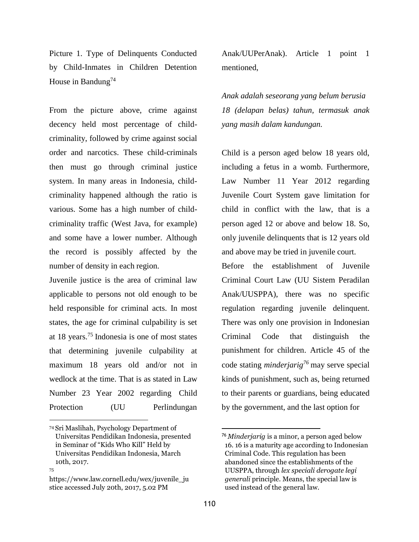Picture 1. Type of Delinquents Conducted by Child-Inmates in Children Detention House in Bandung<sup>74</sup>

From the picture above, crime against decency held most percentage of childcriminality, followed by crime against social order and narcotics. These child-criminals then must go through criminal justice system. In many areas in Indonesia, childcriminality happened although the ratio is various. Some has a high number of childcriminality traffic (West Java, for example) and some have a lower number. Although the record is possibly affected by the number of density in each region.

Juvenile justice is the area of criminal law applicable to persons not old enough to be held responsible for criminal acts. In most states, the age for criminal culpability is set at 18 years.<sup>75</sup>Indonesia is one of most states that determining juvenile culpability at maximum 18 years old and/or not in wedlock at the time. That is as stated in Law Number 23 Year 2002 regarding Child Protection (UU Perlindungan

Anak/UUPerAnak). Article 1 point 1 mentioned,

*Anak adalah seseorang yang belum berusia 18 (delapan belas) tahun, termasuk anak yang masih dalam kandungan.*

Child is a person aged below 18 years old, including a fetus in a womb. Furthermore, Law Number 11 Year 2012 regarding Juvenile Court System gave limitation for child in conflict with the law, that is a person aged 12 or above and below 18. So, only juvenile delinquents that is 12 years old and above may be tried in juvenile court.

Before the establishment of Juvenile Criminal Court Law (UU Sistem Peradilan Anak/UUSPPA), there was no specific regulation regarding juvenile delinquent. There was only one provision in Indonesian Criminal Code that distinguish the punishment for children. Article 45 of the code stating *minderjarig<sup>76</sup>*may serve special kinds of punishment, such as, being returned to their parents or guardians, being educated by the government, and the last option for

<sup>74</sup>Sri Maslihah, Psychology Department of Universitas Pendidikan Indonesia, presented in Seminar of "Kids Who Kill" Held by Universitas Pendidikan Indonesia, March 10th, 2017.

<sup>75</sup>

https:/[/www.law.cornell.edu/wex/juvenile\\_ju](http://www.law.cornell.edu/wex/juvenile_ju) stice accessed July 20th, 2017, 5.02 PM

<sup>76</sup>*Minderjarig* is a minor, a person aged below 16. 16 is a maturity age according to Indonesian Criminal Code. This regulation has been abandoned since the establishments of the UUSPPA, through *lex speciali derogate legi generali* principle. Means, the special law is used instead of the general law.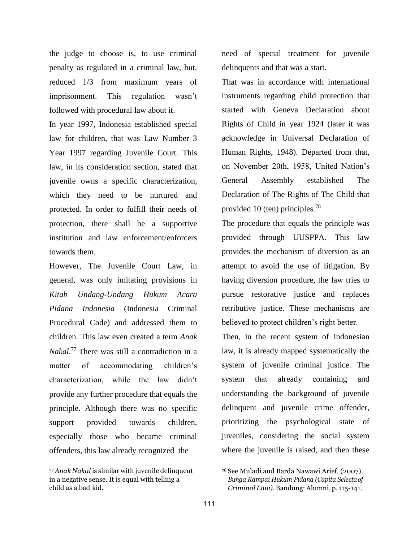the judge to choose is, to use criminal penalty as regulated in a criminal law, but, reduced 1/3 from maximum years of imprisonment. This regulation wasn't followed with procedural law about it.

In year 1997, Indonesia established special law for children, that was Law Number 3 Year 1997 regarding Juvenile Court. This law, in its consideration section, stated that juvenile owns a specific characterization, which they need to be nurtured and protected. In order to fulfill their needs of protection, there shall be a supportive institution and law enforcement/enforcers towards them.

However, The Juvenile Court Law, in general, was only imitating provisions in *Kitab Undang-Undang Hukum Acara Pidana Indonesia* (Indonesia Criminal Procedural Code) and addressed them to children. This law even created a term *Anak Nakal*.<sup>77</sup> There was still a contradiction in a matter of accommodating children's characterization, while the law didn't provide any further procedure that equals the principle. Although there was no specific support provided towards children, especially those who became criminal offenders, this law already recognized the

<sup>77</sup>*Anak Nakal* is similar with juvenile delinquent in a negative sense. It is equal with telling a child as a bad kid.

need of special treatment for juvenile delinquents and that was a start.

That was in accordance with international instruments regarding child protection that started with Geneva Declaration about Rights of Child in year 1924 (later it was acknowledge in Universal Declaration of Human Rights, 1948). Departed from that, on November 20th, 1958, United Nation's General Assembly established The Declaration of The Rights of The Child that provided 10 (ten) principles.<sup>78</sup>

The procedure that equals the principle was provided through UUSPPA. This law provides the mechanism of diversion as an attempt to avoid the use of litigation. By having diversion procedure, the law tries to pursue restorative justice and replaces retributive justice. These mechanisms are believed to protect children's right better.

Then, in the recent system of Indonesian law, it is already mapped systematically the system of juvenile criminal justice. The system that already containing and understanding the background of juvenile delinquent and juvenile crime offender, prioritizing the psychological state of juveniles, considering the social system where the juvenile is raised, and then these

<sup>78</sup>See Muladi and Barda Nawawi Arief. (2007). *Bunga Rampai Hukum Pidana (Capita Selectaof Criminal Law).* Bandung: Alumni, p. 115-141.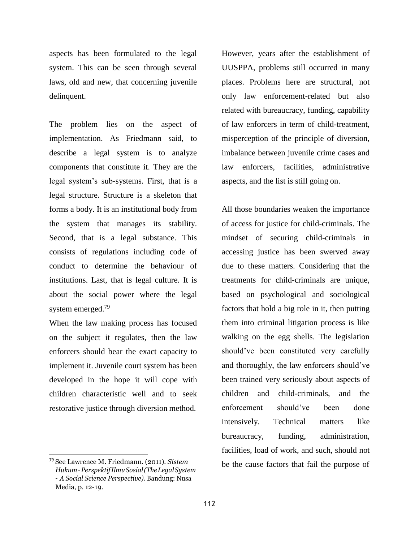aspects has been formulated to the legal system. This can be seen through several laws, old and new, that concerning juvenile delinquent.

The problem lies on the aspect of implementation. As Friedmann said, to describe a legal system is to analyze components that constitute it. They are the legal system's sub-systems. First, that is a legal structure. Structure is a skeleton that forms a body. It is an institutional body from the system that manages its stability. Second, that is a legal substance. This consists of regulations including code of conduct to determine the behaviour of institutions. Last, that is legal culture. It is about the social power where the legal system emerged.<sup>79</sup>

When the law making process has focused on the subject it regulates, then the law enforcers should bear the exact capacity to implement it. Juvenile court system has been developed in the hope it will cope with children characteristic well and to seek restorative justice through diversion method.

<sup>79</sup>See Lawrence M. Friedmann. (2011). *Sistem Hukum–PerspektifIlmuSosial(TheLegalSystem – A Social Science Perspective).* Bandung: Nusa Media, p. 12-19.

However, years after the establishment of UUSPPA, problems still occurred in many places. Problems here are structural, not only law enforcement-related but also related with bureaucracy, funding, capability of law enforcers in term of child-treatment, misperception of the principle of diversion, imbalance between juvenile crime cases and law enforcers, facilities, administrative aspects, and the list is still going on.

All those boundaries weaken the importance of access for justice for child-criminals. The mindset of securing child-criminals in accessing justice has been swerved away due to these matters. Considering that the treatments for child-criminals are unique, based on psychological and sociological factors that hold a big role in it, then putting them into criminal litigation process is like walking on the egg shells. The legislation should've been constituted very carefully and thoroughly, the law enforcers should've been trained very seriously about aspects of children and child-criminals, and the enforcement should've been done intensively. Technical matters like bureaucracy, funding, administration, facilities, load of work, and such, should not be the cause factors that fail the purpose of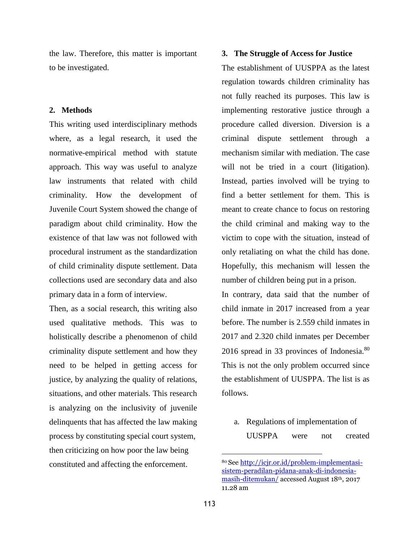the law. Therefore, this matter is important to be investigated.

#### **2. Methods**

This writing used interdisciplinary methods where, as a legal research, it used the normative-empirical method with statute approach. This way was useful to analyze law instruments that related with child criminality. How the development of Juvenile Court System showed the change of paradigm about child criminality. How the existence of that law was not followed with procedural instrument as the standardization of child criminality dispute settlement. Data collections used are secondary data and also primary data in a form of interview.

Then, as a social research, this writing also used qualitative methods. This was to holistically describe a phenomenon of child criminality dispute settlement and how they need to be helped in getting access for justice, by analyzing the quality of relations, situations, and other materials. This research is analyzing on the inclusivity of juvenile delinquents that has affected the law making process by constituting special court system, then criticizing on how poor the law being constituted and affecting the enforcement. <sup>80</sup>See [http://icjr.or.id/problem-implementasi-](http://icjr.or.id/problem-implementasi-sistem-peradilan-pidana-anak-di-indonesia-masih-ditemukan/)

## **3. The Struggle of Access for Justice**

The establishment of UUSPPA as the latest regulation towards children criminality has not fully reached its purposes. This law is implementing restorative justice through a procedure called diversion. Diversion is a criminal dispute settlement through a mechanism similar with mediation. The case will not be tried in a court (litigation). Instead, parties involved will be trying to find a better settlement for them. This is meant to create chance to focus on restoring the child criminal and making way to the victim to cope with the situation, instead of only retaliating on what the child has done. Hopefully, this mechanism will lessen the number of children being put in a prison.

In contrary, data said that the number of child inmate in 2017 increased from a year before. The number is 2.559 child inmates in 2017 and 2.320 child inmates per December 2016 spread in 33 provinces of Indonesia.<sup>80</sup> This is not the only problem occurred since the establishment of UUSPPA. The list is as follows.

a. Regulations of implementation of UUSPPA were not created

[sistem-peradilan-pidana-anak-di-indonesia](http://icjr.or.id/problem-implementasi-sistem-peradilan-pidana-anak-di-indonesia-masih-ditemukan/)[masih-ditemukan/](http://icjr.or.id/problem-implementasi-sistem-peradilan-pidana-anak-di-indonesia-masih-ditemukan/) accessed August 18th, 2017 11.28 am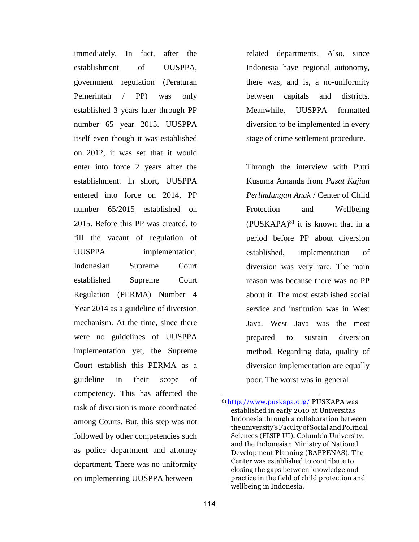immediately. In fact, after the establishment of UUSPPA, government regulation (Peraturan Pemerintah / PP) was only established 3 years later through PP number 65 year 2015. UUSPPA itself even though it was established on 2012, it was set that it would enter into force 2 years after the establishment. In short, UUSPPA entered into force on 2014, PP number 65/2015 established on 2015. Before this PP was created, to fill the vacant of regulation of UUSPPA implementation, Indonesian Supreme Court established Supreme Court Regulation (PERMA) Number 4 Year 2014 as a guideline of diversion mechanism. At the time, since there were no guidelines of UUSPPA implementation yet, the Supreme Court establish this PERMA as a guideline in their scope of competency. This has affected the task of diversion is more coordinated among Courts. But, this step was not followed by other competencies such as police department and attorney department. There was no uniformity on implementing UUSPPA between

related departments. Also, since Indonesia have regional autonomy, there was, and is, a no-uniformity between capitals and districts. Meanwhile, UUSPPA formatted diversion to be implemented in every stage of crime settlement procedure.

Through the interview with Putri Kusuma Amanda from *Pusat Kajian Perlindungan Anak* / Center of Child Protection and Wellbeing  $(PUSKAPA)^{81}$  it is known that in a period before PP about diversion established, implementation of diversion was very rare. The main reason was because there was no PP about it. The most established social service and institution was in West Java. West Java was the most prepared to sustain diversion method. Regarding data, quality of diversion implementation are equally poor. The worst was in general

<sup>81</sup> <http://www.puskapa.org/> PUSKAPA was established in early 2010 at Universitas Indonesia through a collaboration between theuniversity'sFacultyofSocialandPolitical Sciences (FISIP UI), Columbia University, and the Indonesian Ministry of National Development Planning (BAPPENAS). The Center was established to contribute to closing the gaps between knowledge and practice in the field of child protection and wellbeing in Indonesia.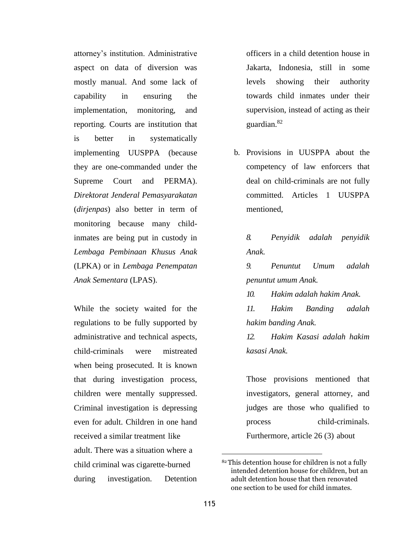attorney's institution. Administrative aspect on data of diversion was mostly manual. And some lack of capability in ensuring the implementation, monitoring, and reporting. Courts are institution that is better in systematically implementing UUSPPA (because they are one-commanded under the Supreme Court and PERMA). *Direktorat Jenderal Pemasyarakatan*  (*dirjenpas*) also better in term of monitoring because many childinmates are being put in custody in *Lembaga Pembinaan Khusus Anak*  (LPKA) or in *Lembaga Penempatan Anak Sementara* (LPAS).

While the society waited for the regulations to be fully supported by administrative and technical aspects, child-criminals were mistreated when being prosecuted. It is known that during investigation process, children were mentally suppressed. Criminal investigation is depressing even for adult. Children in one hand received a similar treatment like adult. There was a situation where a child criminal was cigarette-burned during investigation. Detention officers in a child detention house in Jakarta, Indonesia, still in some levels showing their authority towards child inmates under their supervision, instead of acting as their guardian.<sup>82</sup>

b. Provisions in UUSPPA about the competency of law enforcers that deal on child-criminals are not fully committed. Articles 1 UUSPPA mentioned,

*8. Penyidik adalah penyidik Anak.*

*9. Penuntut Umum adalah penuntut umum Anak.*

*10. Hakim adalah hakim Anak.*

*11. Hakim Banding adalah hakim banding Anak.*

*12. Hakim Kasasi adalah hakim kasasi Anak.*

Those provisions mentioned that investigators, general attorney, and judges are those who qualified to process child-criminals. Furthermore, article 26 (3) about

<sup>82</sup>This detention house for children is not a fully intended detention house for children, but an adult detention house that then renovated one section to be used for child inmates.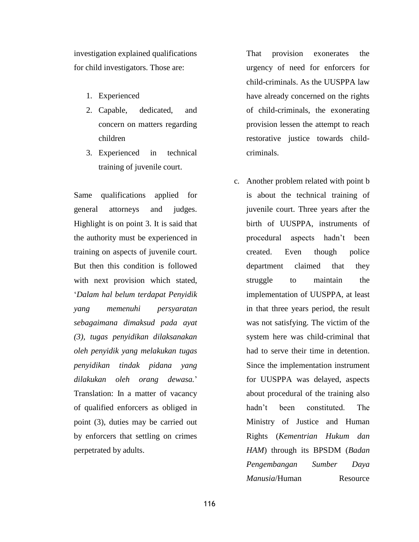investigation explained qualifications for child investigators. Those are:

- 1. Experienced
- 2. Capable, dedicated, and concern on matters regarding children
- 3. Experienced in technical training of juvenile court.

Same qualifications applied for general attorneys and judges. Highlight is on point 3. It is said that the authority must be experienced in training on aspects of juvenile court. But then this condition is followed with next provision which stated, '*Dalam hal belum terdapat Penyidik yang memenuhi persyaratan sebagaimana dimaksud pada ayat (3), tugas penyidikan dilaksanakan oleh penyidik yang melakukan tugas penyidikan tindak pidana yang dilakukan oleh orang dewasa.*' Translation: In a matter of vacancy of qualified enforcers as obliged in point (3), duties may be carried out by enforcers that settling on crimes perpetrated by adults.

That provision exonerates the urgency of need for enforcers for child-criminals. As the UUSPPA law have already concerned on the rights of child-criminals, the exonerating provision lessen the attempt to reach restorative justice towards childcriminals.

c. Another problem related with point b is about the technical training of juvenile court. Three years after the birth of UUSPPA, instruments of procedural aspects hadn't been created. Even though police department claimed that they struggle to maintain the implementation of UUSPPA, at least in that three years period, the result was not satisfying. The victim of the system here was child-criminal that had to serve their time in detention. Since the implementation instrument for UUSPPA was delayed, aspects about procedural of the training also hadn't been constituted. The Ministry of Justice and Human Rights (*Kementrian Hukum dan HAM*) through its BPSDM (*Badan Pengembangan Sumber Daya Manusia*/Human Resource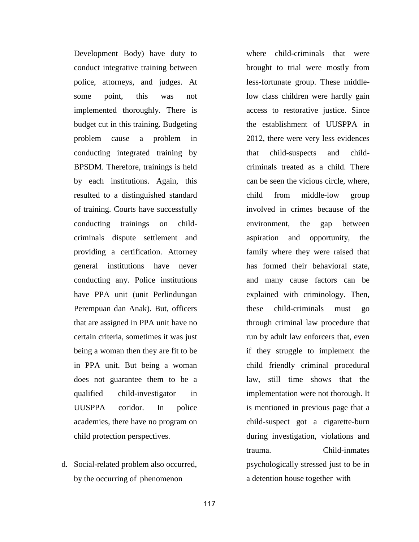Development Body) have duty to conduct integrative training between police, attorneys, and judges. At some point, this was not implemented thoroughly. There is budget cut in this training. Budgeting problem cause a problem in conducting integrated training by BPSDM. Therefore, trainings is held by each institutions. Again, this resulted to a distinguished standard of training. Courts have successfully conducting trainings on childcriminals dispute settlement and providing a certification. Attorney general institutions have never conducting any. Police institutions have PPA unit (unit Perlindungan Perempuan dan Anak). But, officers that are assigned in PPA unit have no certain criteria, sometimes it was just being a woman then they are fit to be in PPA unit. But being a woman does not guarantee them to be a qualified child-investigator in UUSPPA coridor. In police academies, there have no program on child protection perspectives.

d. Social-related problem also occurred, by the occurring of phenomenon

where child-criminals that were brought to trial were mostly from less-fortunate group. These middlelow class children were hardly gain access to restorative justice. Since the establishment of UUSPPA in 2012, there were very less evidences that child-suspects and childcriminals treated as a child. There can be seen the vicious circle, where, child from middle-low group involved in crimes because of the environment, the gap between aspiration and opportunity, the family where they were raised that has formed their behavioral state, and many cause factors can be explained with criminology. Then, these child-criminals must go through criminal law procedure that run by adult law enforcers that, even if they struggle to implement the child friendly criminal procedural law, still time shows that the implementation were not thorough. It is mentioned in previous page that a child-suspect got a cigarette-burn during investigation, violations and trauma. Child-inmates psychologically stressed just to be in a detention house together with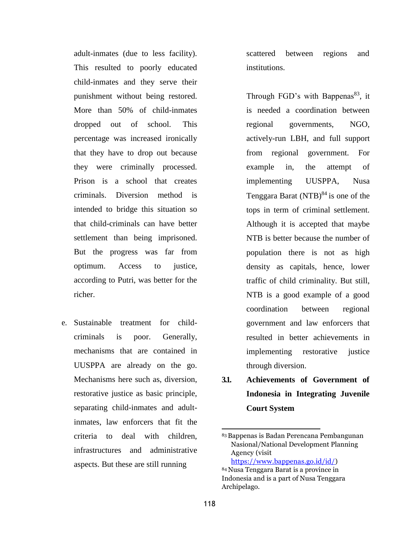adult-inmates (due to less facility). This resulted to poorly educated child-inmates and they serve their punishment without being restored. More than 50% of child-inmates dropped out of school. This percentage was increased ironically that they have to drop out because they were criminally processed. Prison is a school that creates criminals. Diversion method is intended to bridge this situation so that child-criminals can have better settlement than being imprisoned. But the progress was far from optimum. Access to justice, according to Putri, was better for the richer.

e. Sustainable treatment for childcriminals is poor. Generally, mechanisms that are contained in UUSPPA are already on the go. Mechanisms here such as, diversion, restorative justice as basic principle, separating child-inmates and adultinmates, law enforcers that fit the criteria to deal with children, infrastructures and administrative aspects. But these are still running

scattered between regions and institutions.

Through FGD's with Bappenas<sup>83</sup>, it is needed a coordination between regional governments, NGO, actively-run LBH, and full support from regional government. For example in, the attempt of implementing UUSPPA, Nusa Tenggara Barat  $(NTB)^{84}$  is one of the tops in term of criminal settlement. Although it is accepted that maybe NTB is better because the number of population there is not as high density as capitals, hence, lower traffic of child criminality. But still, NTB is a good example of a good coordination between regional government and law enforcers that resulted in better achievements in implementing restorative justice through diversion.

**3.1. Achievements of Government of Indonesia in Integrating Juvenile Court System**

<sup>83</sup> Bappenas is Badan Perencana Pembangunan Nasional/National Development Planning Agency (visit [https://www.bappenas.go.id/id/\)](https://www.bappenas.go.id/id/)

<sup>84</sup>Nusa Tenggara Barat is a province in Indonesia and is a part of Nusa Tenggara Archipelago.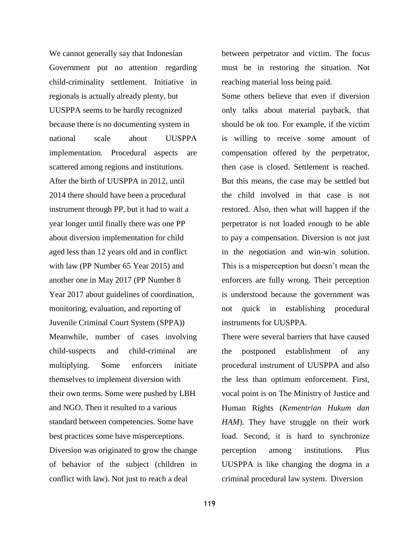We cannot generally say that Indonesian Government put no attention regarding child-criminality settlement. Initiative in regionals is actually already plenty, but UUSPPA seems to be hardly recognized because there is no documenting system in national scale about UUSPPA implementation. Procedural aspects are scattered among regions and institutions. After the birth of UUSPPA in 2012, until 2014 there should have been a procedural instrument through PP, but it had to wait a year longer until finally there was one PP about diversion implementation for child aged less than 12 years old and in conflict with law (PP Number 65 Year 2015) and another one in May 2017 (PP Number 8 Year 2017 about guidelines of coordination, monitoring, evaluation, and reporting of Juvenile Criminal Court System (SPPA)) Meanwhile, number of cases involving child-suspects and child-criminal are multiplying. Some enforcers initiate themselves to implement diversion with their own terms. Some were pushed by LBH and NGO. Then it resulted to a various standard between competencies. Some have best practices some have misperceptions. Diversion was originated to grow the change of behavior of the subject (children in conflict with law). Not just to reach a deal

between perpetrator and victim. The focus must be in restoring the situation. Not reaching material loss being paid.

Some others believe that even if diversion only talks about material payback, that should be ok too. For example, if the victim is willing to receive some amount of compensation offered by the perpetrator, then case is closed. Settlement is reached. But this means, the case may be settled but the child involved in that case is not restored. Also, then what will happen if the perpetrator is not loaded enough to be able to pay a compensation. Diversion is not just in the negotiation and win-win solution. This is a misperception but doesn't mean the enforcers are fully wrong. Their perception is understood because the government was not quick in establishing procedural instruments for UUSPPA.

There were several barriers that have caused the postponed establishment of any procedural instrument of UUSPPA and also the less than optimum enforcement. First, vocal point is on The Ministry of Justice and Human Rights (*Kementrian Hukum dan HAM*). They have struggle on their work load. Second, it is hard to synchronize perception among institutions. Plus UUSPPA is like changing the dogma in a criminal procedural law system. Diversion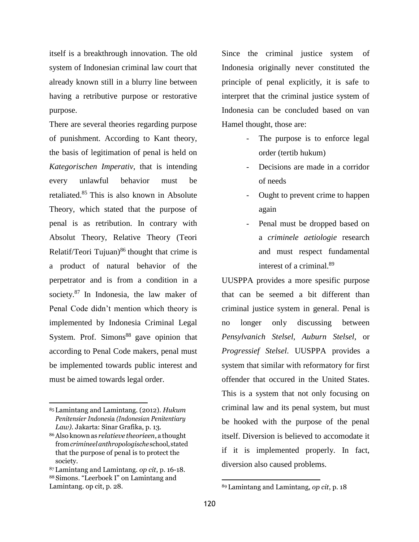itself is a breakthrough innovation. The old system of Indonesian criminal law court that already known still in a blurry line between having a retributive purpose or restorative purpose.

There are several theories regarding purpose of punishment. According to Kant theory, the basis of legitimation of penal is held on *Kategorischen Imperativ*, that is intending every unlawful behavior must be retaliated.<sup>85</sup> This is also known in Absolute Theory, which stated that the purpose of penal is as retribution. In contrary with Absolut Theory, Relative Theory (Teori Relatif/Teori Tujuan) $86$  thought that crime is a product of natural behavior of the perpetrator and is from a condition in a society. $87$  In Indonesia, the law maker of Penal Code didn't mention which theory is implemented by Indonesia Criminal Legal System. Prof. Simons $88$  gave opinion that according to Penal Code makers, penal must be implemented towards public interest and must be aimed towards legal order.

Since the criminal justice system of Indonesia originally never constituted the principle of penal explicitly, it is safe to interpret that the criminal justice system of Indonesia can be concluded based on van Hamel thought, those are:

- The purpose is to enforce legal order (tertib hukum)
- Decisions are made in a corridor of needs
- Ought to prevent crime to happen again
- Penal must be dropped based on a *criminele aetiologie* research and must respect fundamental interest of a criminal.<sup>89</sup>

UUSPPA provides a more spesific purpose that can be seemed a bit different than criminal justice system in general. Penal is no longer only discussing between *Pensylvanich Stelsel*, *Auburn Stelsel*, or *Progressief Stelsel*. UUSPPA provides a system that similar with reformatory for first offender that occured in the United States. This is a system that not only focusing on criminal law and its penal system, but must be hooked with the purpose of the penal itself. Diversion is believed to accomodate it if it is implemented properly. In fact, diversion also caused problems.

<sup>85</sup>Lamintang and Lamintang. (2012). *Hukum Penitensier Indone*sia *(Indonesian Penitentiary Law).* Jakarta: Sinar Grafika, p. 13.

<sup>86</sup>Also knownas *relatieve theorieen*, a thought from*crimineelanthropologische* school, stated that the purpose of penal is to protect the society.

<sup>87</sup>Lamintang and Lamintang. *op cit*, p. 16-18. <sup>88</sup>Simons. "Leerboek I" on Lamintang and Lamintang. op cit, p. 28.

<sup>89</sup> Lamintang and Lamintang, *op cit*, p. 18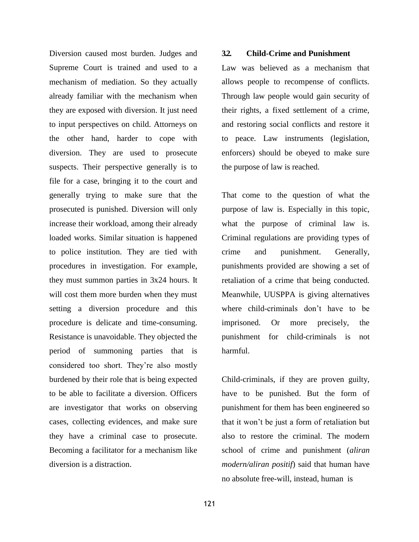Diversion caused most burden. Judges and Supreme Court is trained and used to a mechanism of mediation. So they actually already familiar with the mechanism when they are exposed with diversion. It just need to input perspectives on child. Attorneys on the other hand, harder to cope with diversion. They are used to prosecute suspects. Their perspective generally is to file for a case, bringing it to the court and generally trying to make sure that the prosecuted is punished. Diversion will only increase their workload, among their already loaded works. Similar situation is happened to police institution. They are tied with procedures in investigation. For example, they must summon parties in 3x24 hours. It will cost them more burden when they must setting a diversion procedure and this procedure is delicate and time-consuming. Resistance is unavoidable. They objected the period of summoning parties that is considered too short. They're also mostly burdened by their role that is being expected to be able to facilitate a diversion. Officers are investigator that works on observing cases, collecting evidences, and make sure they have a criminal case to prosecute. Becoming a facilitator for a mechanism like diversion is a distraction.

## **3.2. Child-Crime and Punishment**

Law was believed as a mechanism that allows people to recompense of conflicts. Through law people would gain security of their rights, a fixed settlement of a crime, and restoring social conflicts and restore it to peace. Law instruments (legislation, enforcers) should be obeyed to make sure the purpose of law is reached.

That come to the question of what the purpose of law is. Especially in this topic, what the purpose of criminal law is. Criminal regulations are providing types of crime and punishment. Generally, punishments provided are showing a set of retaliation of a crime that being conducted. Meanwhile, UUSPPA is giving alternatives where child-criminals don't have to be imprisoned. Or more precisely, the punishment for child-criminals is not harmful.

Child-criminals, if they are proven guilty, have to be punished. But the form of punishment for them has been engineered so that it won't be just a form of retaliation but also to restore the criminal. The modern school of crime and punishment (*aliran modern/aliran positif*) said that human have no absolute free-will, instead, human is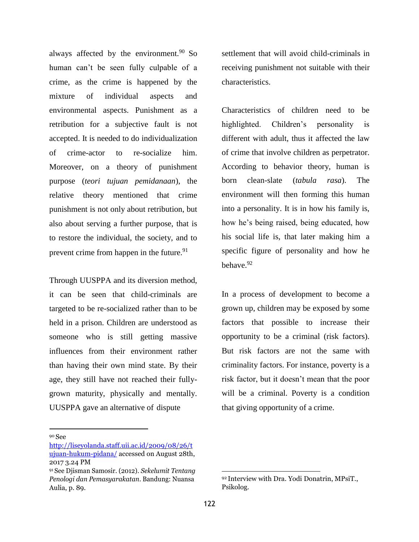always affected by the environment. $90$  So human can't be seen fully culpable of a crime, as the crime is happened by the mixture of individual aspects and environmental aspects. Punishment as a retribution for a subjective fault is not accepted. It is needed to do individualization of crime-actor to re-socialize him. Moreover, on a theory of punishment purpose (*teori tujuan pemidanaan*), the relative theory mentioned that crime punishment is not only about retribution, but also about serving a further purpose, that is to restore the individual, the society, and to prevent crime from happen in the future.<sup>91</sup>

Through UUSPPA and its diversion method, it can be seen that child-criminals are targeted to be re-socialized rather than to be held in a prison. Children are understood as someone who is still getting massive influences from their environment rather than having their own mind state. By their age, they still have not reached their fullygrown maturity, physically and mentally. UUSPPA gave an alternative of dispute

<sup>90</sup>See

settlement that will avoid child-criminals in receiving punishment not suitable with their characteristics.

Characteristics of children need to be highlighted. Children's personality is different with adult, thus it affected the law of crime that involve children as perpetrator. According to behavior theory, human is born clean-slate (*tabula rasa*). The environment will then forming this human into a personality. It is in how his family is, how he's being raised, being educated, how his social life is, that later making him a specific figure of personality and how he behave.<sup>92</sup>

In a process of development to become a grown up, children may be exposed by some factors that possible to increase their opportunity to be a criminal (risk factors). But risk factors are not the same with criminality factors. For instance, poverty is a risk factor, but it doesn't mean that the poor will be a criminal. Poverty is a condition that giving opportunity of a crime.

[http://liseyolanda.staff.uii.ac.id/2009/08/26/t](http://liseyolanda.staff.uii.ac.id/2009/08/26/tujuan-hukum-pidana/) [ujuan-hukum-pidana/](http://liseyolanda.staff.uii.ac.id/2009/08/26/tujuan-hukum-pidana/) accessed on August 28th, 2017 3.24 PM

<sup>91</sup>See Djisman Samosir. (2012). *Sekelumit Tentang Penologi dan Pemasyarakatan*. Bandung: Nuansa Aulia, p. 89.

<sup>92</sup>Interview with Dra. Yodi Donatrin, MPsiT., Psikolog.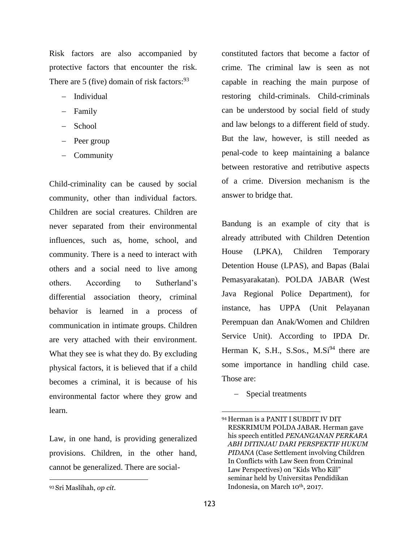Risk factors are also accompanied by protective factors that encounter the risk. There are 5 (five) domain of risk factors: $93$ 

- − Individual
- − Family
- − School
- − Peer group
- − Community

Child-criminality can be caused by social community, other than individual factors. Children are social creatures. Children are never separated from their environmental influences, such as, home, school, and community. There is a need to interact with others and a social need to live among others. According to Sutherland's differential association theory, criminal behavior is learned in a process of communication in intimate groups. Children are very attached with their environment. What they see is what they do. By excluding physical factors, it is believed that if a child becomes a criminal, it is because of his environmental factor where they grow and learn.

Law, in one hand, is providing generalized provisions. Children, in the other hand, cannot be generalized. There are socialconstituted factors that become a factor of crime. The criminal law is seen as not capable in reaching the main purpose of restoring child-criminals. Child-criminals can be understood by social field of study and law belongs to a different field of study. But the law, however, is still needed as penal-code to keep maintaining a balance between restorative and retributive aspects of a crime. Diversion mechanism is the answer to bridge that.

Bandung is an example of city that is already attributed with Children Detention House (LPKA), Children Temporary Detention House (LPAS), and Bapas (Balai Pemasyarakatan). POLDA JABAR (West Java Regional Police Department), for instance, has UPPA (Unit Pelayanan Perempuan dan Anak/Women and Children Service Unit). According to IPDA Dr. Herman K, S.H., S.Sos.,  $M.Si^{94}$  there are some importance in handling child case. Those are:

− Special treatments

<sup>93</sup>Sri Maslihah, *op cit*.

<sup>94</sup>Herman is a PANIT I SUBDIT IV DIT RESKRIMUM POLDA JABAR. Herman gave his speech entitled *PENANGANAN PERKARA ABH DITINJAU DARI PERSPEKTIF HUKUM PIDANA* (Case Settlement involving Children In Conflicts with Law Seen from Criminal Law Perspectives) on "Kids Who Kill" seminar held by Universitas Pendidikan Indonesia, on March 10th, 2017.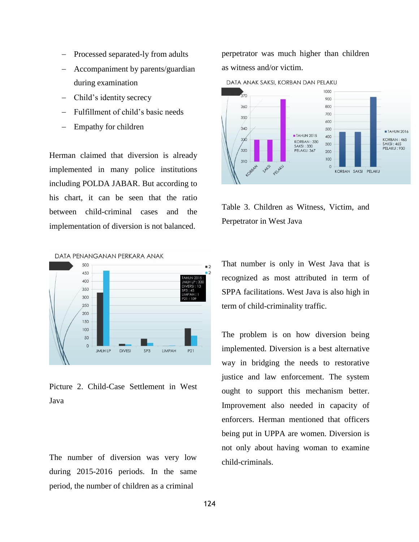- − Processed separated-ly from adults
- Accompaniment by parents/guardian during examination
- − Child's identity secrecy
- Fulfillment of child's basic needs
- Empathy for children

Herman claimed that diversion is already implemented in many police institutions including POLDA JABAR. But according to his chart, it can be seen that the ratio between child-criminal cases and the implementation of diversion is not balanced.



Picture 2. Child-Case Settlement in West Java

The number of diversion was very low during 2015-2016 periods. In the same period, the number of children as a criminal

perpetrator was much higher than children as witness and/or victim.



Table 3. Children as Witness, Victim, and Perpetrator in West Java

That number is only in West Java that is recognized as most attributed in term of SPPA facilitations. West Java is also high in term of child-criminality traffic.

The problem is on how diversion being implemented. Diversion is a best alternative way in bridging the needs to restorative justice and law enforcement. The system ought to support this mechanism better. Improvement also needed in capacity of enforcers. Herman mentioned that officers being put in UPPA are women. Diversion is not only about having woman to examine child-criminals.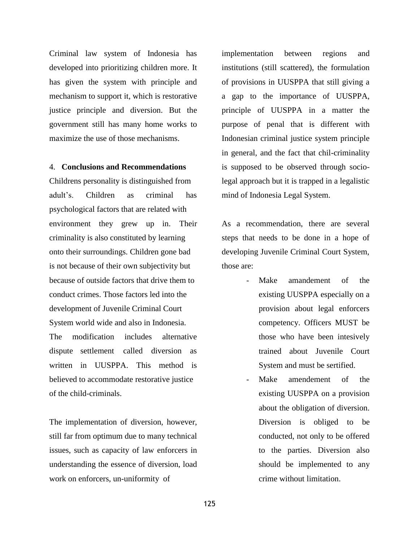Criminal law system of Indonesia has developed into prioritizing children more. It has given the system with principle and mechanism to support it, which is restorative justice principle and diversion. But the government still has many home works to maximize the use of those mechanisms.

#### 4. **Conclusions and Recommendations**

Childrens personality is distinguished from adult's. Children as criminal has psychological factors that are related with environment they grew up in. Their criminality is also constituted by learning onto their surroundings. Children gone bad is not because of their own subjectivity but because of outside factors that drive them to conduct crimes. Those factors led into the development of Juvenile Criminal Court System world wide and also in Indonesia. The modification includes alternative dispute settlement called diversion as written in UUSPPA. This method is believed to accommodate restorative justice of the child-criminals.

The implementation of diversion, however, still far from optimum due to many technical issues, such as capacity of law enforcers in understanding the essence of diversion, load work on enforcers, un-uniformity of

implementation between regions and institutions (still scattered), the formulation of provisions in UUSPPA that still giving a a gap to the importance of UUSPPA, principle of UUSPPA in a matter the purpose of penal that is different with Indonesian criminal justice system principle in general, and the fact that chil-criminality is supposed to be observed through sociolegal approach but it is trapped in a legalistic mind of Indonesia Legal System.

As a recommendation, there are several steps that needs to be done in a hope of developing Juvenile Criminal Court System, those are:

- Make amandement of the existing UUSPPA especially on a provision about legal enforcers competency. Officers MUST be those who have been intesively trained about Juvenile Court System and must be sertified.
- Make amendement of the existing UUSPPA on a provision about the obligation of diversion. Diversion is obliged to be conducted, not only to be offered to the parties. Diversion also should be implemented to any crime without limitation.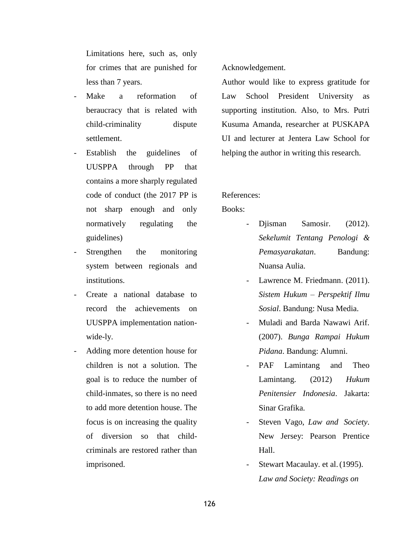Limitations here, such as, only for crimes that are punished for less than 7 years.

- Make a reformation of beraucracy that is related with child-criminality dispute settlement.
- Establish the guidelines of UUSPPA through PP that contains a more sharply regulated code of conduct (the 2017 PP is not sharp enough and only normatively regulating the guidelines)
- Strengthen the monitoring system between regionals and institutions.
- Create a national database to record the achievements on UUSPPA implementation nationwide-ly.
- Adding more detention house for children is not a solution. The goal is to reduce the number of child-inmates, so there is no need to add more detention house. The focus is on increasing the quality of diversion so that childcriminals are restored rather than imprisoned.

Acknowledgement.

Author would like to express gratitude for Law School President University as supporting institution. Also, to Mrs. Putri Kusuma Amanda, researcher at PUSKAPA UI and lecturer at Jentera Law School for helping the author in writing this research.

## References:

Books:

- Djisman Samosir. (2012). *Sekelumit Tentang Penologi & Pemasyarakatan*. Bandung: Nuansa Aulia.
	- Lawrence M. Friedmann. (2011). *Sistem Hukum – Perspektif Ilmu Sosial*. Bandung: Nusa Media.
- Muladi and Barda Nawawi Arif. (2007). *Bunga Rampai Hukum Pidana*. Bandung: Alumni.
- PAF Lamintang and Theo Lamintang. (2012) *Hukum Penitensier Indonesia*. Jakarta: Sinar Grafika.
- Steven Vago, *Law and Society*. New Jersey: Pearson Prentice Hall.
- Stewart Macaulay. et al. (1995). *Law and Society: Readings on*